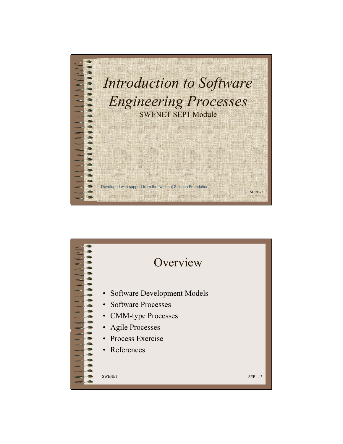

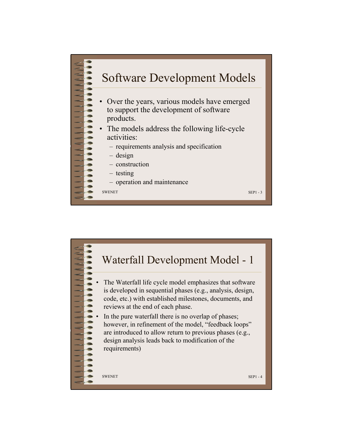

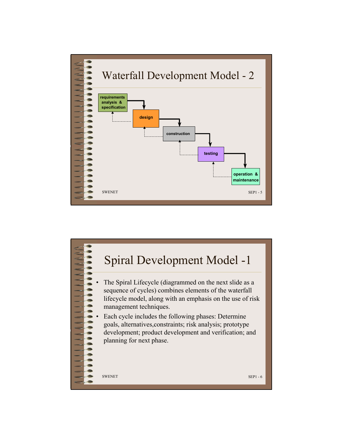

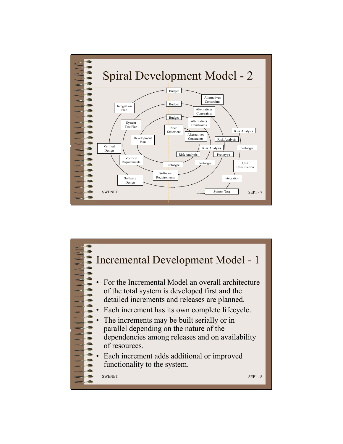

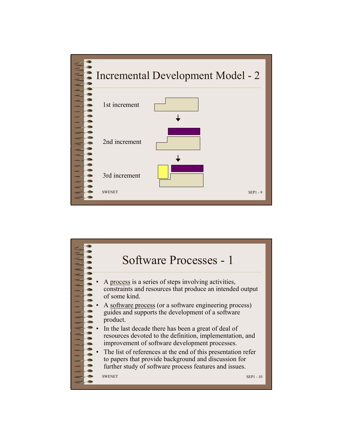

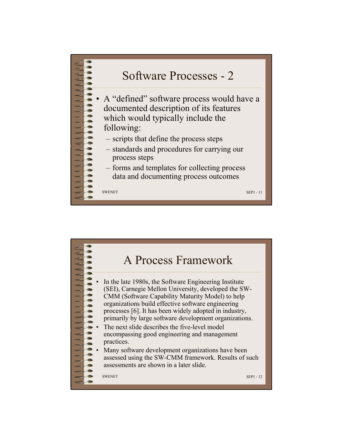

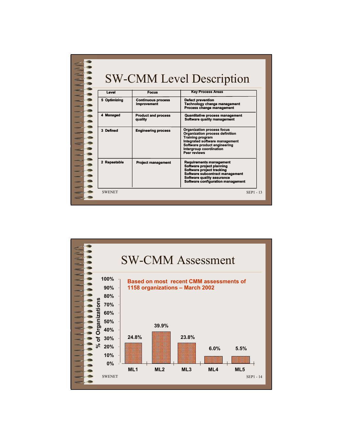|  | <b>SW-CMM Level Description</b> |                                          |                                                                                                                                                                                                              |
|--|---------------------------------|------------------------------------------|--------------------------------------------------------------------------------------------------------------------------------------------------------------------------------------------------------------|
|  | Level                           | <b>Focus</b>                             | <b>Key Process Areas</b>                                                                                                                                                                                     |
|  | 5 Optimizing                    | <b>Continuous process</b><br>improvement | <b>Defect prevention</b><br><b>Technology change management</b><br>Process change management                                                                                                                 |
|  | 4 Managed                       | <b>Product and process</b><br>quality    | <b>Quantitative process management</b><br>Software quality management                                                                                                                                        |
|  | 3 Defined                       | <b>Engineering process</b>               | <b>Organization process focus</b><br>Organization process definition<br><b>Training program</b><br>Integrated software management<br>Software product engineering<br>Intergroup coordination<br>Peer reviews |
|  | 2 Repeatable                    | <b>Project management</b>                | <b>Requirements management</b><br>Software project planning<br>Software project tracking<br>Software subcontract management<br>Software quality assurance<br>Software configuration management               |
|  | <b>SWENET</b>                   |                                          | SEP1 - 13                                                                                                                                                                                                    |

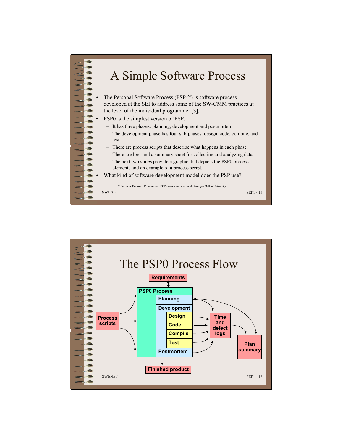

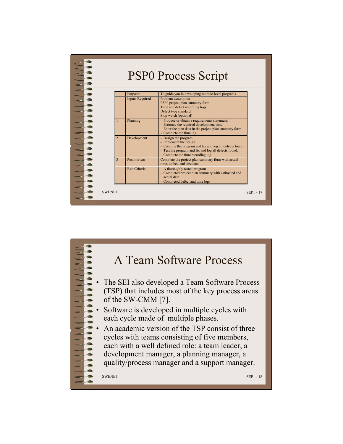

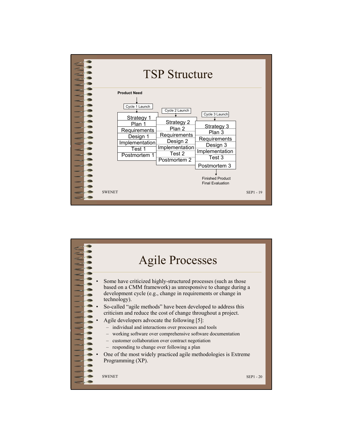

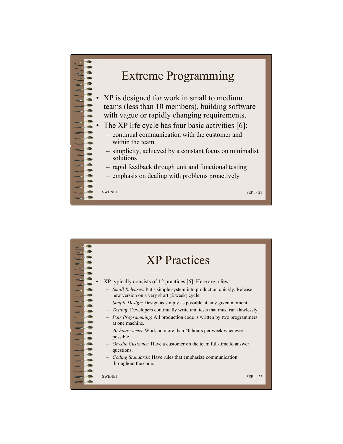